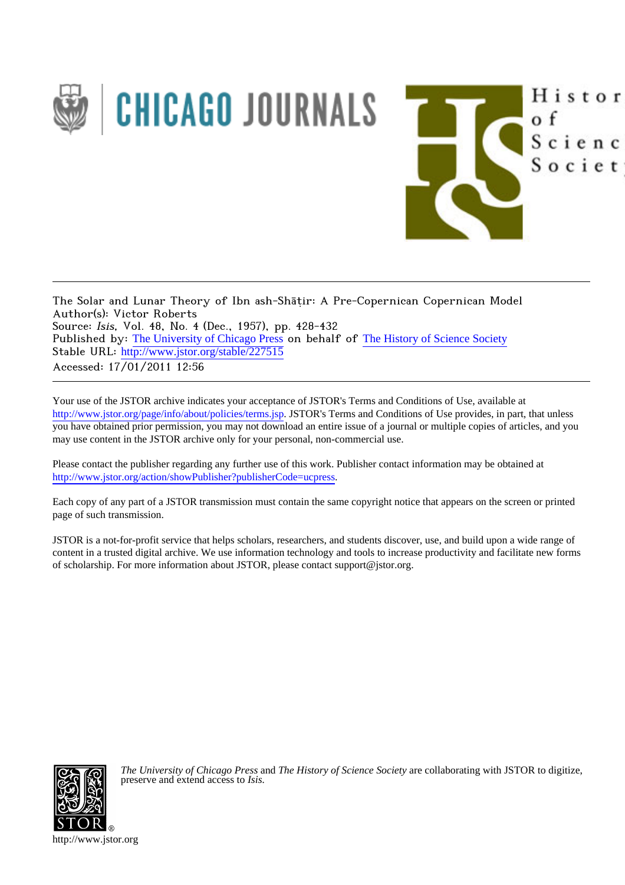

The Solar and Lunar Theory of Ibn ash-Shāṭir: A Pre-Copernican Copernican Model Author(s): Victor Roberts Source: Isis, Vol. 48, No. 4 (Dec., 1957), pp. 428-432 Published by: [The University of Chicago Press](http://www.jstor.org/action/showPublisher?publisherCode=ucpress) on behalf of [The History of Science Society](http://www.jstor.org/action/showPublisher?publisherCode=hss) Stable URL: http://www.jstor.org/stable/227515 Accessed: 17/01/2011 12:56

Your use of the JSTOR archive indicates your acceptance of JSTOR's Terms and Conditions of Use, available at <http://www.jstor.org/page/info/about/policies/terms.jsp>. JSTOR's Terms and Conditions of Use provides, in part, that unless you have obtained prior permission, you may not download an entire issue of a journal or multiple copies of articles, and you may use content in the JSTOR archive only for your personal, non-commercial use.

Histor

Scienc

Societ

o f

Please contact the publisher regarding any further use of this work. Publisher contact information may be obtained at [http://www.jstor.org/action/showPublisher?publisherCode=ucpress.](http://www.jstor.org/action/showPublisher?publisherCode=ucpress) .

Each copy of any part of a JSTOR transmission must contain the same copyright notice that appears on the screen or printed page of such transmission.

JSTOR is a not-for-profit service that helps scholars, researchers, and students discover, use, and build upon a wide range of content in a trusted digital archive. We use information technology and tools to increase productivity and facilitate new forms of scholarship. For more information about JSTOR, please contact support@jstor.org.



*The University of Chicago Press* and *The History of Science Society* are collaborating with JSTOR to digitize, preserve and extend access to *Isis.*

http://www.jstor.org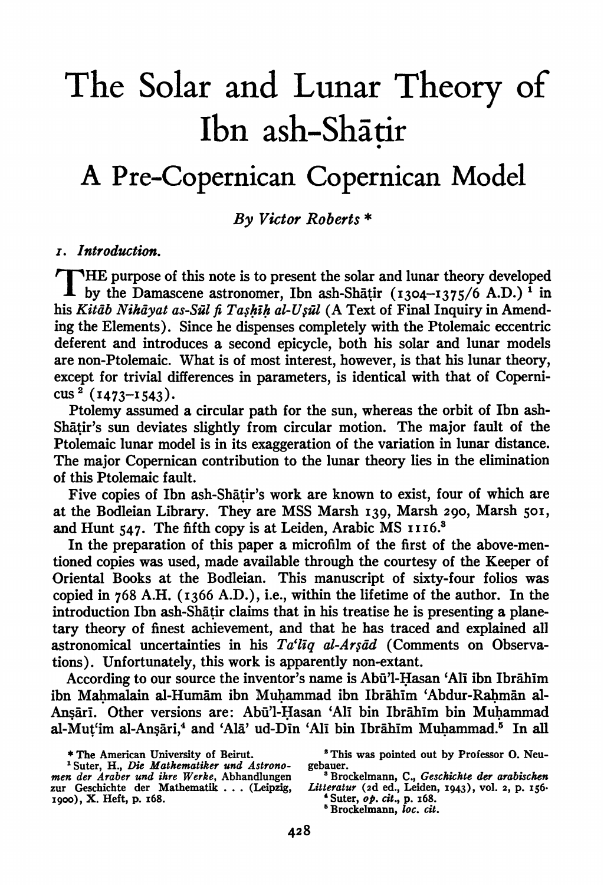# **The Solar and Lunar Theory of Ibn ash-Shatir**

# **<sup>A</sup>Pre-Copernican Copernican Model**

**By Victor Roberts \*** 

## **I. Introduction.**

**THE purpose of this note is to present the solar and lunar theory developed by the Damascene astronomer, Ibn ash-Shatir (I304-I375/6 A.D.) 1 in**  his Kitāb Nihāyat as-Sūl fi Tashīh al-Usūl (A Text of Final Inquiry in Amend**ig the Elements). Since he dispenses completely with the Ptolemaic eccentric deferent and introduces a second epicycle, both his solar and lunar models are non-Ptolemaic. What is of most interest, however, is that his lunar theory, except for trivial differences in parameters, is identical with that of Coperni-CUS (I473-I543).** 

**Ptolemy assumed a circular path for the sun, whereas the orbit of Ibn ash-Shatir's sun deviates slightly from circular motion. The major fault of the Ptolemaic lunar model is in its exaggeration of the variation in lunar distance. The major Copernican contribution to the lunar theory lies in the elimination of this Ptolemaic fault.** 

**Five copies of Ibn ash-Shatir's work are known to exist, four of which are at the Bodleian Library. They are MSS Marsh I39, Marsh 290, Marsh 50I,**  and Hunt 547. The fifth copy is at Leiden, Arabic MS **1116.**<sup>3</sup>

**In the preparation of this paper a microfilm of the first of the above-mentioned copies was used, made available through the courtesy of the Keeper of Oriental Books at the Bodleian. This manuscript of sixty-four folios was copied in 768 A.H. (1366 A.D.), i.e., within the lifetime of the author. In the introduction Ibn ash-Shatir claims that in his treatise he is presenting a planetary theory of finest achievement, and that he has traced and explained all astronomical uncertainties in his Ta'liq al-Arsad (Comments on Observations). Unfortunately, this work is apparently non-extant.** 

According to our source the inventor's name is Abū'l-Hasan 'Alī ibn Ibrāhīm ibn Mahmalain al-Humām ibn Muhammad ibn Ibrāhīm 'Abdur-Rahmān al-**Ansari. Other versions are: Abui'l-Hasan 'All bin Ibrahim bin Muhammad al-Mut'im al-Ansari,4 and 'Ala' ud-Din 'Ali bin Ibrihim Muhammad." In all** 

**<sup>\*</sup> The American University of Beirut.** 

**<sup>1</sup>Suter, H., Die Mathematiker und Astronomen der Araber und ihre Werke, Abhandlungen zur Geschichte der Mathematik ... (Leipzig, I900), X. Heft, p. I68.** 

**<sup>&#</sup>x27;This was pointed out by Professor 0. Neugebauer.** 

**<sup>&#</sup>x27;Brockelmann, C., Geschichte der arabischen Litteratur (2d ed., Leiden, I943), voL. 2, p. I56-** 

**<sup>&#</sup>x27;Suter, op. cit., p. i68. 'Brockelmann, loc. cit.**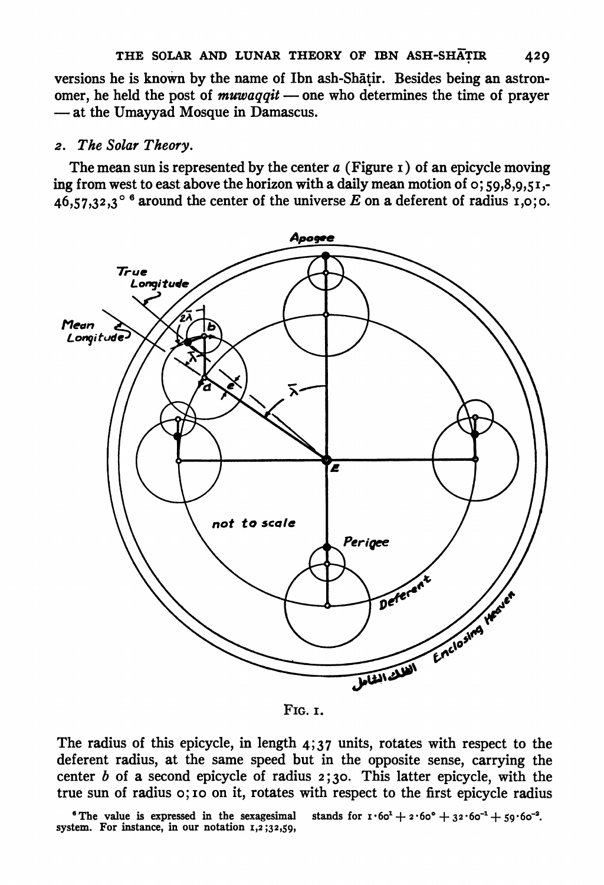**versions he is known by the name of Ibn ash-Shatir. Besides being an astronomer, he held the post of muwaqqit - one who determines the time of prayer - at the Umayyad Mosque in Damascus.** 

#### **2. The Solar Theory.**

**The mean sun is represented by the center a (Figure I) of an epicycle moving ing from west to east above the horizon with a daily mean motion of o; 59,8,9,5I,-**   $46,57,32,3^{\circ}$ <sup>6</sup> around the center of the universe E on a deferent of radius 1,0;0.



**FIG. I.** 

**The radius of this epicycle, in length 4;37 units, rotates with respect to the deferent radius, at the same speed but in the opposite sense, carrying the center b of a second epicycle of radius 2;30. This latter epicycle, with the true sun of radius o; IO on it, rotates with respect to the first epicycle radius** 

**' The value is expressed in the sexagesimal system. For instance, in our notation I,2 ;32,59, stands** for  $\mathbf{I} \cdot 60^1 + 2 \cdot 60^0 + 32 \cdot 60^{-1} + 59 \cdot 60^{-2}$ .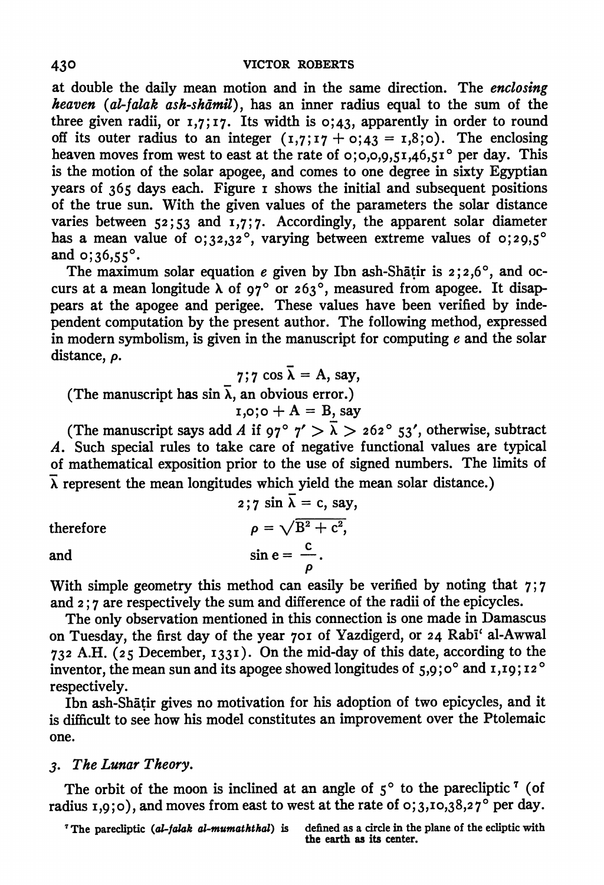**at double the daily mean motion and in the same direction. The enclosing**  heaven (al-falak ash-shāmil), has an inner radius equal to the sum of the **three given radii, or I,7; I 7. Its width is o; 43, apparently in order to round**  off its outer radius to an integer  $(1,7;17 + 0;43 = 1,8;0)$ . The enclosing heaven moves from west to east at the rate of 0;0,0,0,51,46,51° per day. This **is the motion of the solar apogee, and comes to one degree in sixty Egyptian years of 365 days each. Figure i shows the initial and subsequent positions of the true sun. With the given values of the parameters the solar distance varies between 52;53 and I,7;7. Accordingly, the apparent solar diameter**  has a mean value of  $\sigma$ ;32,32<sup>°</sup>, varying between extreme values of  $\sigma$ ;29,5<sup>°</sup> and  $0;36,55^{\circ}$ .

The maximum solar equation  $e$  given by Ibn ash-Shatir is  $2;2,6^{\circ}$ , and oc**curs at a mean longitude X of 970 or 2630, measured from apogee. It disappears at the apogee and perigee. These values have been verified by independent computation by the present author. The following method, expressed in modern symbolism, is given in the manuscript for computing e and the solar distance, p.** 

7;7 cos 
$$
\overline{\lambda}
$$
 = A, say,

(The manuscript has  $\sin \overline{\lambda}$ , an obvious error.)

$$
1,0; 0 + A = B, say
$$

(The manuscript says add A if  $97^{\circ}$   $7' > \lambda > 262^{\circ}$  53', otherwise, subtract **A. Such special rules to take care of negative functional values are typical of mathematical exposition prior to the use of signed numbers. The limits of**   $\overline{\lambda}$  represent the mean longitudes which yield the mean solar distance.)

therefore  
\n
$$
2;7 \sin \lambda = c, say,
$$
\n
$$
\rho = \sqrt{B^2 + c^2},
$$
\n
$$
\sin e = \frac{c}{\rho}.
$$

 $$ 

**With simple geometry this method can easily be verified by noting that 7; 7 and 2; 7 are respectively the sum and difference of the radii of the epicycles.** 

**The only observation mentioned in this connection is one made in Damascus on Tuesday, the first day of the year 70I of Yazdigerd, or 24 Rabl' al-Awwal <sup>732</sup>A.H. (25 December, I33I). On the mid-day of this date, according to the inventor, the mean sun and its apogee showed longitudes of 5,9;0° and 1,19;12° respectively.** 

**Ibn ash-Shatir gives no motivation for his adoption of two epicycles, and it is difficult to see how his model constitutes an improvement over the Ptolemaic one.** 

#### **3. The Lunar Theory.**

The orbit of the moon is inclined at an angle of  $5^{\circ}$  to the parecliptic <sup>7</sup> (of **radius i,9;o), and moves from east to west at the rate of 0;3,IO,38,270 per day.** 

<sup>*T*</sup> The parecliptic (al-falak al-mumaththal) is defined as a circle in the plane of the ecliptic with **the earth as its center.**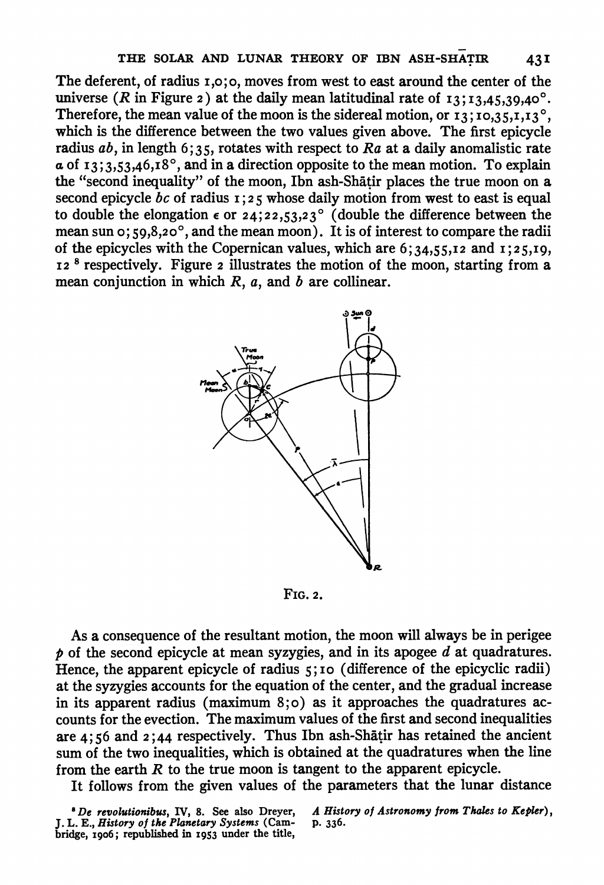**The deferent, of radius i,o; o, moves from west to east around the center of the universe** (*R* in Figure *z*) at the daily mean latitudinal rate of  $13$ ;  $13,45,39,40^{\circ}$ . Therefore, the mean value of the moon is the sidereal motion, or  $I_3$ ;  $I_0$ ,  $I_3$ ,  $I_1$ ,  $I_3$ °, **which is the difference between the two values given above. The first epicycle radius ab, in length 6; 35, rotates with respect to Ra at a daily anomalistic rate a of I3;3,53,46,I8?, and in a direction opposite to the mean motion. To explain the "second inequality" of the moon, Ibn ash-Shatir places the true moon on a second epicycle bc of radius I; 2 5 whose daily motion from west to east is equal**  to double the elongation  $\epsilon$  or  $24$ ;  $22,53,23^{\circ}$  (double the difference between the **mean sun o; 59,8,20?, and the mean moon). It is of interest to compare the radii of the epicycles with the Copernican values, which are 6;34,55,I2 and I;25,I9, I2 <sup>8</sup>respectively. Figure 2 illustrates the motion of the moon, starting from a mean conjunction in which R, a, and b are collinear.** 



**FIG. 2.** 

**As a consequence of the resultant motion, the moon will always be in perigee p of the second epicycle at mean syzygies, and in its apogee d at quadratures. Hence, the apparent epicycle of radius 5; I0 (difference of the epicyclic radii) at the syzygies accounts for the equation of the center, and the gradual increase in its apparent radius (maximum 8;o) as it approaches the quadratures accounts for the evection. The maximum values of the first and second inequalities are 4; 56 and 2 ; 44 respectively. Thus Ibn ash-Shatir has retained the ancient sum of the two inequalities, which is obtained at the quadratures when the line from the earth R to the true moon is tangent to the apparent epicycle.** 

**It follows from the given values of the parameters that the lunar distance** 

**IDe revolutionibus, IV, 8. See also Dreyer, J. L. E., History of the Planetary Systems (Cambridge, I906; republished in I953 under the title,** 

**A History of Astronomy from Thales to Kepler), p. 336.**